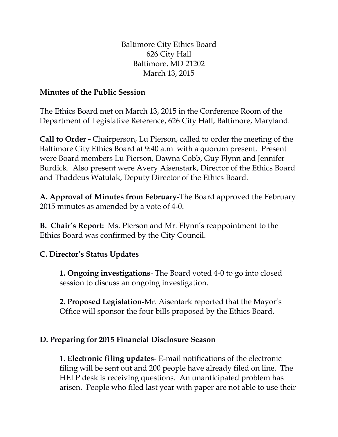Baltimore City Ethics Board 626 City Hall Baltimore, MD 21202 March 13, 2015

## **Minutes of the Public Session**

The Ethics Board met on March 13, 2015 in the Conference Room of the Department of Legislative Reference, 626 City Hall, Baltimore, Maryland.

**Call to Order -** Chairperson, Lu Pierson, called to order the meeting of the Baltimore City Ethics Board at 9:40 a.m. with a quorum present. Present were Board members Lu Pierson, Dawna Cobb, Guy Flynn and Jennifer Burdick. Also present were Avery Aisenstark, Director of the Ethics Board and Thaddeus Watulak, Deputy Director of the Ethics Board.

**A. Approval of Minutes from February-**The Board approved the February 2015 minutes as amended by a vote of 4-0.

**B. Chair's Report:** Ms. Pierson and Mr. Flynn's reappointment to the Ethics Board was confirmed by the City Council.

## **C. Director's Status Updates**

**1. Ongoing investigations**- The Board voted 4-0 to go into closed session to discuss an ongoing investigation.

**2. Proposed Legislation-**Mr. Aisentark reported that the Mayor's Office will sponsor the four bills proposed by the Ethics Board.

## **D. Preparing for 2015 Financial Disclosure Season**

1. **Electronic filing updates**- E-mail notifications of the electronic filing will be sent out and 200 people have already filed on line. The HELP desk is receiving questions. An unanticipated problem has arisen. People who filed last year with paper are not able to use their